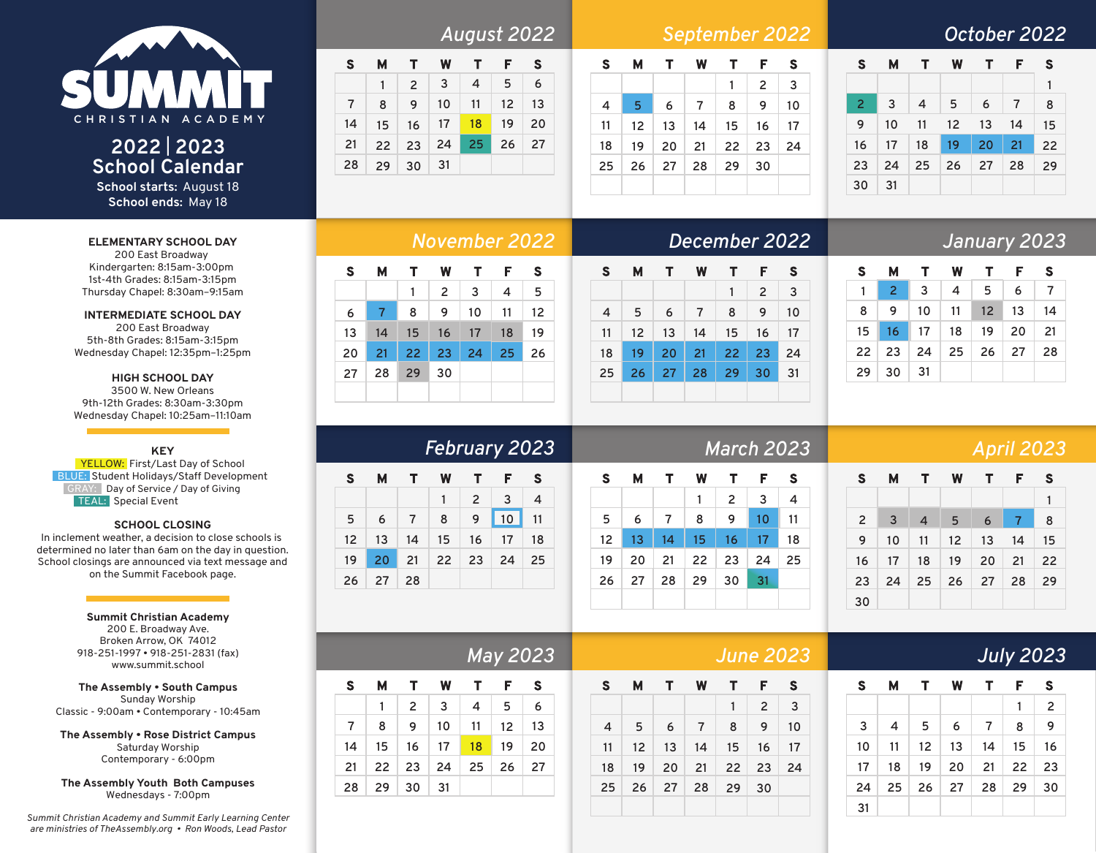

**2022 | <sup>25</sup> 2023 School Calendar**

**School starts:** August 18 **School ends:** May 18

### **ELEMENTARY SCHOOL DAY**

200 East Broadway Kindergarten: 8:15am-3:00pm 1st-4th Grades: 8:15am-3:15pm Thursday Chapel: 8:30am–9:15am

**INTERMEDIATE SCHOOL DAY** 200 East Broadway 5th-8th Grades: 8:15am-3:15pm Wednesday Chapel: 12:35pm–1:25pm

## **HIGH SCHOOL DAY**

3500 W. New Orleans 9th-12th Grades: 8:30am-3:30pm Wednesday Chapel: 10:25am–11:10am

#### **KEY**

YELLOW: First/Last Day of School BLUE: Student Holidays/Staff Development GRAY: Day of Service / Day of Giving TEAL: Special Event

### **SCHOOL CLOSING**

In inclement weather, a decision to close schools is determined no later than 6am on the day in question. School closings are announced via text message and on the Summit Facebook page.

## **Summit Christian Academy**

200 E. Broadway Ave. Broken Arrow, OK 74012 918-251-1997 • 918-251-2831 (fax) www.summit.school

**The Assembly • South Campus** Sunday Worship Classic - 9:00am • Contemporary - 10:45am

**The Assembly • Rose District Campus** Saturday Worship Contemporary - 6:00pm

**The Assembly Youth Both Campuses** Wednesdays - 7:00pm

*Summit Christian Academy and Summit Early Learning Center are ministries of TheAssembly.org • Ron Woods, Lead Pastor*

## *August 2022*

| S              | м  | T              | W              | $\top$            | $\mathbf{F}$ | <b>S</b> |
|----------------|----|----------------|----------------|-------------------|--------------|----------|
|                |    | $\overline{2}$ | 3 <sup>1</sup> | $\overline{4}$    | 5            | 6        |
| 7 <sup>7</sup> | 8  | 9              |                | $10$ 11 12 13     |              |          |
| 14             |    |                |                | 15 16 17 18 19 20 |              |          |
| 21             |    |                | 22 23 24 25    |                   |              |          |
| 28             | 29 | 30             | $\vert$ 31     |                   |              |          |

## *September 2022*

| S  | М  | Т.         | W              | т            | F. | S  |
|----|----|------------|----------------|--------------|----|----|
|    |    |            |                | 1            | 2  | 3  |
| 4  | 5  | 6          | $\overline{7}$ | 8            | 9  | 10 |
| 11 | 12 | $\vert$ 13 | $\vert$ 14     | $15 \mid 16$ |    | 17 |
| 18 | 19 | 20         | 21             | 22           | 23 | 24 |
| 25 | 26 | $\vert$ 27 | $\vert$ 28     | 29           | 30 |    |
|    |    |            |                |              |    |    |

## *October 2022*

| S              | М  | т  | W  | т  | F  | s  |
|----------------|----|----|----|----|----|----|
|                |    |    |    |    |    | 1  |
| $\overline{2}$ | 3  | 4  | 5  | 6  | 7  | 8  |
| 9              | 10 | 11 | 12 | 13 | 14 | 15 |
| 16             | 17 | 18 | 19 | 20 | 21 | 22 |
| 23             | 24 | 25 | 26 | 27 | 28 | 29 |
| 30             | 31 |    |    |    |    |    |

|    | <b>November 2022</b> |    |    |    |                |    |  |  |
|----|----------------------|----|----|----|----------------|----|--|--|
| S  | М                    | т  | w  | т  | F              | s  |  |  |
|    |                      | 1  | 2  | 3  | $\overline{4}$ | 5  |  |  |
| 6  | 7                    | 8  | 9  | 10 | 11             | 12 |  |  |
| 13 | 14                   | 15 | 16 | 17 | 18             | 19 |  |  |
| 20 | 21                   | 22 | 23 | 24 | 25             | 26 |  |  |
| 27 | 28                   | 29 | 30 |    |                |    |  |  |
|    |                      |    |    |    |                |    |  |  |

*February 2023*

F

S

S

T.

 $\mathsf{s}$ 

S

S.

M

T.

W

M

W

T.

T.

F

*May 2023*

#### *December 2022*  $S$ M T. W  $\mathsf T$ F  $\mathsf{s}$

# *January 2023*

| s  | м              | T.         | W          | $\mathbf{T}$ | F               | S          |
|----|----------------|------------|------------|--------------|-----------------|------------|
| 1  | $\overline{2}$ | 3          | 4          | 5            | 6               | 7          |
| 8  | 9              | 10         | $\perp$ 11 | $12 \mid 13$ |                 | ∣ 14       |
| 15 | 16             | $17$ 18 19 |            |              | $\overline{20}$ | $\vert$ 21 |
|    | $22 \mid 23$   | $\vert$ 24 | 25 26 27   |              |                 | ∣ 28       |
| 29 | 30             | -31        |            |              |                 |            |

#### *March 2023* M т W т F

 $\mathsf{s}$ 

|    |                        |                |              | 2                      | -3   |    |
|----|------------------------|----------------|--------------|------------------------|------|----|
| 5  | 6                      | $\overline{7}$ | 8            | 9                      | 10   | 11 |
|    | $12 \quad 13 \quad 14$ |                | $ 15\rangle$ | 16                     | l 17 | 18 |
| 19 |                        |                |              | 20   21   22   23   24 |      | 25 |
|    | 26   27   28   29      |                |              | 30                     | 31   |    |
|    |                        |                |              |                        |      |    |

# *April 2023*

| S              | м  | Τ.             | W               | т    | F.  | S  |
|----------------|----|----------------|-----------------|------|-----|----|
|                |    |                |                 |      |     | 1  |
| $\overline{2}$ | 3  | $\overline{4}$ | -5              | 6    | - 7 | 8  |
| 9              | 10 | 11             | 12 <sup>2</sup> | 13   | 14  | 15 |
| 16             | 17 | 18             | 19              | 20   | 21  | 22 |
| 23             | 24 | 25 26          |                 | - 27 | 28  | 29 |
| 30             |    |                |                 |      |     |    |

|    |    |    | <b>June 2023</b> |    |                |    |  |  |
|----|----|----|------------------|----|----------------|----|--|--|
| S  | M  | Τ. | W                | T. | F.             | S  |  |  |
|    |    |    |                  | 1  | $\overline{2}$ | 3  |  |  |
| 4  | 5  | 6  | $\overline{7}$   | 8  | 9              | 10 |  |  |
| 11 | 12 | 13 | 14               | 15 | 16             | 17 |  |  |
| 18 | 19 | 20 | 21               | 22 | 23             | 24 |  |  |
| 25 | 26 | 27 | 28               | 29 | 30             |    |  |  |
|    |    |    |                  |    |                |    |  |  |

# *June 2023 July 2023*

| <b>S</b> | м  | T. | W    | т  | F  | s  |
|----------|----|----|------|----|----|----|
|          |    |    |      |    | 1  | 2  |
| 3        | 4  | 5  | 6    | 7  | 8  | 9  |
| 10       | 11 | 12 | 13   | 14 | 15 | 16 |
| 17       | 18 | 19 | 20   | 21 | 22 | 23 |
| 24       | 25 | 26 | - 27 | 28 | 29 | 30 |
| 31       |    |    |      |    |    |    |